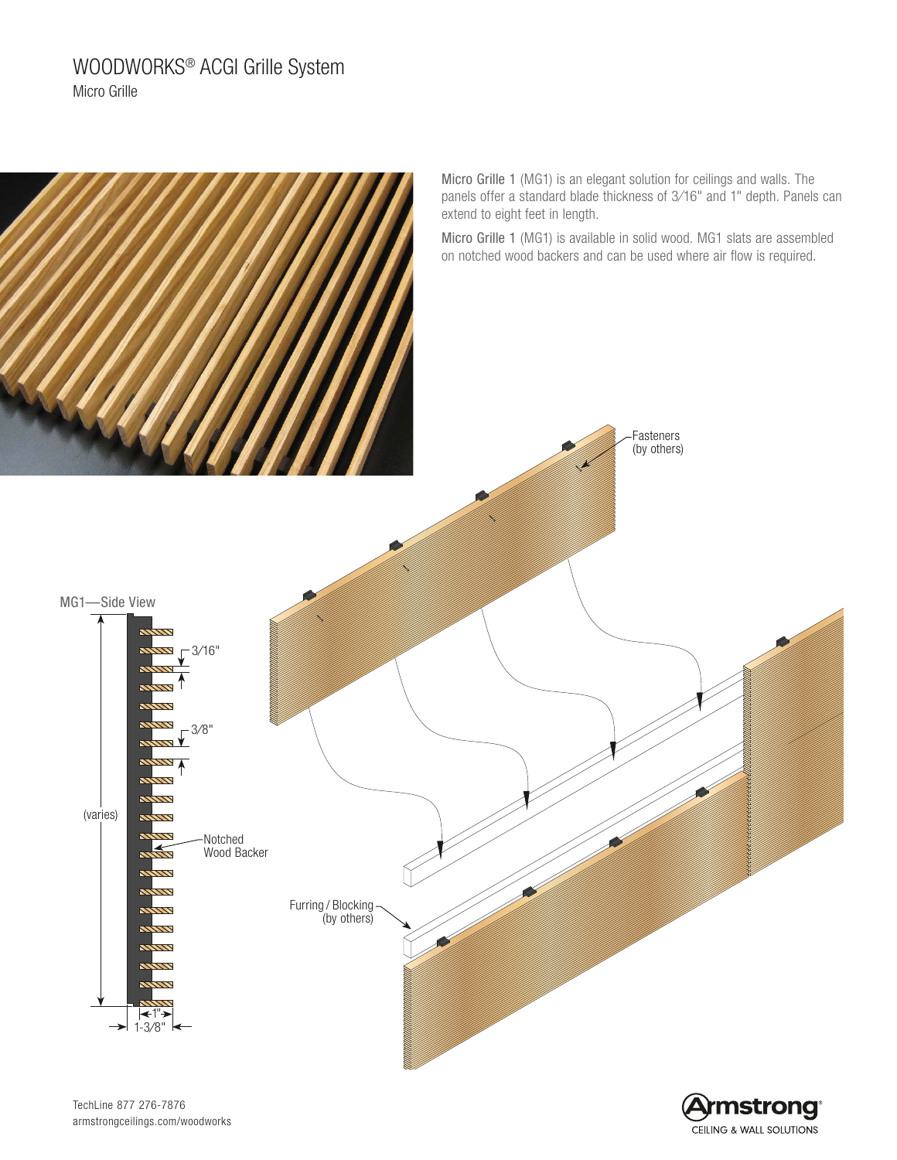